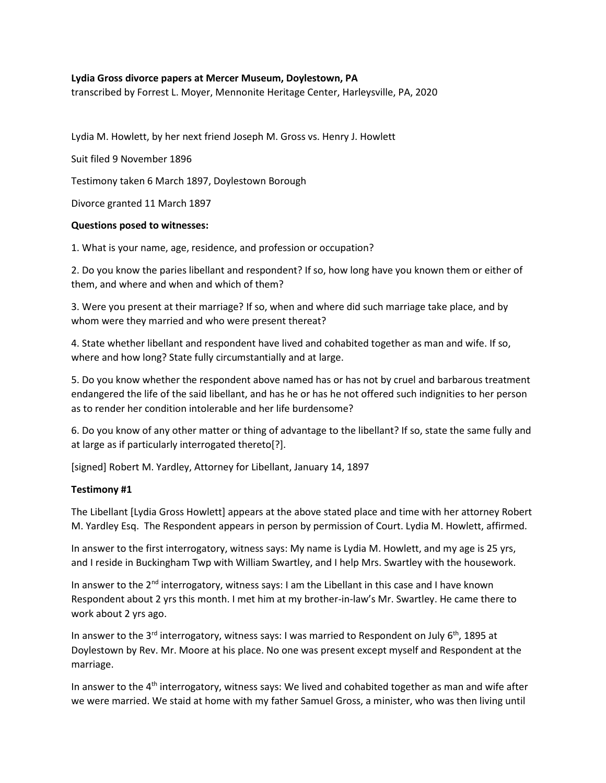### **Lydia Gross divorce papers at Mercer Museum, Doylestown, PA**

transcribed by Forrest L. Moyer, Mennonite Heritage Center, Harleysville, PA, 2020

Lydia M. Howlett, by her next friend Joseph M. Gross vs. Henry J. Howlett

Suit filed 9 November 1896

Testimony taken 6 March 1897, Doylestown Borough

Divorce granted 11 March 1897

#### **Questions posed to witnesses:**

1. What is your name, age, residence, and profession or occupation?

2. Do you know the paries libellant and respondent? If so, how long have you known them or either of them, and where and when and which of them?

3. Were you present at their marriage? If so, when and where did such marriage take place, and by whom were they married and who were present thereat?

4. State whether libellant and respondent have lived and cohabited together as man and wife. If so, where and how long? State fully circumstantially and at large.

5. Do you know whether the respondent above named has or has not by cruel and barbarous treatment endangered the life of the said libellant, and has he or has he not offered such indignities to her person as to render her condition intolerable and her life burdensome?

6. Do you know of any other matter or thing of advantage to the libellant? If so, state the same fully and at large as if particularly interrogated thereto[?].

[signed] Robert M. Yardley, Attorney for Libellant, January 14, 1897

### **Testimony #1**

The Libellant [Lydia Gross Howlett] appears at the above stated place and time with her attorney Robert M. Yardley Esq. The Respondent appears in person by permission of Court. Lydia M. Howlett, affirmed.

In answer to the first interrogatory, witness says: My name is Lydia M. Howlett, and my age is 25 yrs, and I reside in Buckingham Twp with William Swartley, and I help Mrs. Swartley with the housework.

In answer to the  $2<sup>nd</sup>$  interrogatory, witness says: I am the Libellant in this case and I have known Respondent about 2 yrs this month. I met him at my brother-in-law's Mr. Swartley. He came there to work about 2 yrs ago.

In answer to the 3<sup>rd</sup> interrogatory, witness says: I was married to Respondent on July 6<sup>th</sup>, 1895 at Doylestown by Rev. Mr. Moore at his place. No one was present except myself and Respondent at the marriage.

In answer to the 4th interrogatory, witness says: We lived and cohabited together as man and wife after we were married. We staid at home with my father Samuel Gross, a minister, who was then living until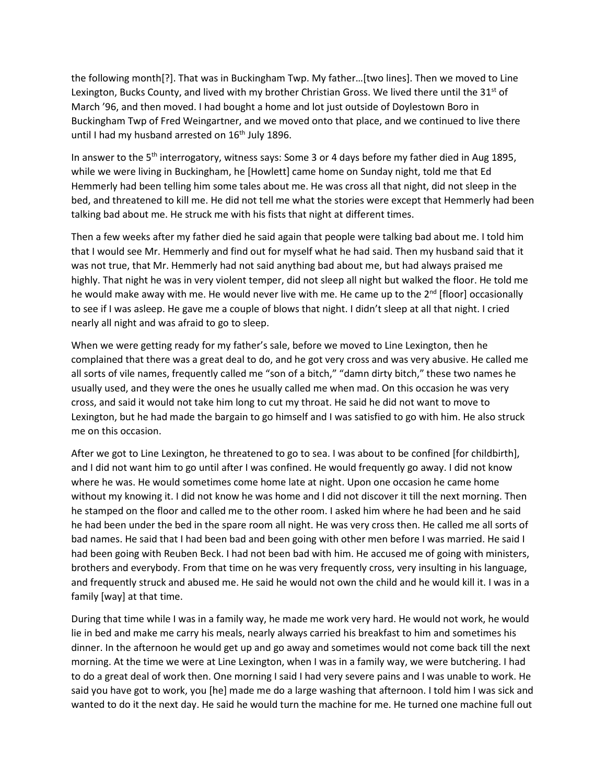the following month[?]. That was in Buckingham Twp. My father…[two lines]. Then we moved to Line Lexington, Bucks County, and lived with my brother Christian Gross. We lived there until the  $31<sup>st</sup>$  of March '96, and then moved. I had bought a home and lot just outside of Doylestown Boro in Buckingham Twp of Fred Weingartner, and we moved onto that place, and we continued to live there until I had my husband arrested on  $16<sup>th</sup>$  July 1896.

In answer to the 5<sup>th</sup> interrogatory, witness says: Some 3 or 4 days before my father died in Aug 1895, while we were living in Buckingham, he [Howlett] came home on Sunday night, told me that Ed Hemmerly had been telling him some tales about me. He was cross all that night, did not sleep in the bed, and threatened to kill me. He did not tell me what the stories were except that Hemmerly had been talking bad about me. He struck me with his fists that night at different times.

Then a few weeks after my father died he said again that people were talking bad about me. I told him that I would see Mr. Hemmerly and find out for myself what he had said. Then my husband said that it was not true, that Mr. Hemmerly had not said anything bad about me, but had always praised me highly. That night he was in very violent temper, did not sleep all night but walked the floor. He told me he would make away with me. He would never live with me. He came up to the 2<sup>nd</sup> [floor] occasionally to see if I was asleep. He gave me a couple of blows that night. I didn't sleep at all that night. I cried nearly all night and was afraid to go to sleep.

When we were getting ready for my father's sale, before we moved to Line Lexington, then he complained that there was a great deal to do, and he got very cross and was very abusive. He called me all sorts of vile names, frequently called me "son of a bitch," "damn dirty bitch," these two names he usually used, and they were the ones he usually called me when mad. On this occasion he was very cross, and said it would not take him long to cut my throat. He said he did not want to move to Lexington, but he had made the bargain to go himself and I was satisfied to go with him. He also struck me on this occasion.

After we got to Line Lexington, he threatened to go to sea. I was about to be confined [for childbirth], and I did not want him to go until after I was confined. He would frequently go away. I did not know where he was. He would sometimes come home late at night. Upon one occasion he came home without my knowing it. I did not know he was home and I did not discover it till the next morning. Then he stamped on the floor and called me to the other room. I asked him where he had been and he said he had been under the bed in the spare room all night. He was very cross then. He called me all sorts of bad names. He said that I had been bad and been going with other men before I was married. He said I had been going with Reuben Beck. I had not been bad with him. He accused me of going with ministers, brothers and everybody. From that time on he was very frequently cross, very insulting in his language, and frequently struck and abused me. He said he would not own the child and he would kill it. I was in a family [way] at that time.

During that time while I was in a family way, he made me work very hard. He would not work, he would lie in bed and make me carry his meals, nearly always carried his breakfast to him and sometimes his dinner. In the afternoon he would get up and go away and sometimes would not come back till the next morning. At the time we were at Line Lexington, when I was in a family way, we were butchering. I had to do a great deal of work then. One morning I said I had very severe pains and I was unable to work. He said you have got to work, you [he] made me do a large washing that afternoon. I told him I was sick and wanted to do it the next day. He said he would turn the machine for me. He turned one machine full out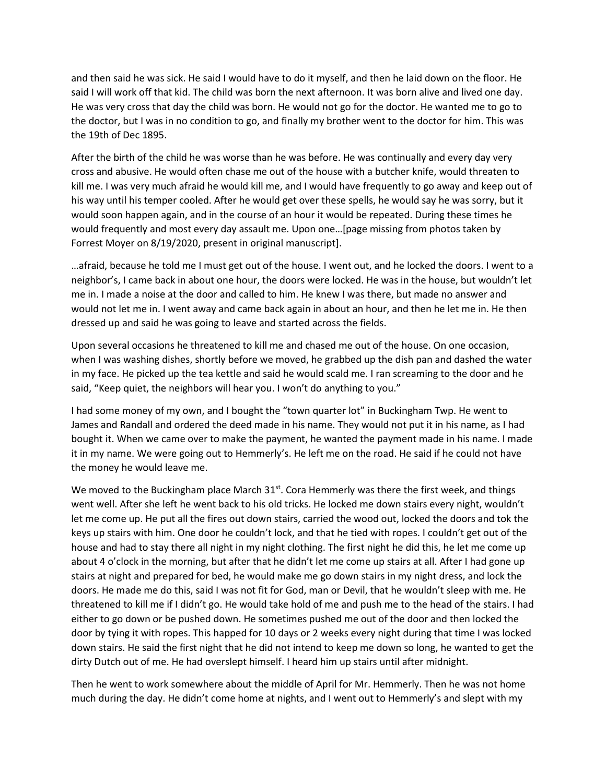and then said he was sick. He said I would have to do it myself, and then he laid down on the floor. He said I will work off that kid. The child was born the next afternoon. It was born alive and lived one day. He was very cross that day the child was born. He would not go for the doctor. He wanted me to go to the doctor, but I was in no condition to go, and finally my brother went to the doctor for him. This was the 19th of Dec 1895.

After the birth of the child he was worse than he was before. He was continually and every day very cross and abusive. He would often chase me out of the house with a butcher knife, would threaten to kill me. I was very much afraid he would kill me, and I would have frequently to go away and keep out of his way until his temper cooled. After he would get over these spells, he would say he was sorry, but it would soon happen again, and in the course of an hour it would be repeated. During these times he would frequently and most every day assault me. Upon one…[page missing from photos taken by Forrest Moyer on 8/19/2020, present in original manuscript].

…afraid, because he told me I must get out of the house. I went out, and he locked the doors. I went to a neighbor's, I came back in about one hour, the doors were locked. He was in the house, but wouldn't let me in. I made a noise at the door and called to him. He knew I was there, but made no answer and would not let me in. I went away and came back again in about an hour, and then he let me in. He then dressed up and said he was going to leave and started across the fields.

Upon several occasions he threatened to kill me and chased me out of the house. On one occasion, when I was washing dishes, shortly before we moved, he grabbed up the dish pan and dashed the water in my face. He picked up the tea kettle and said he would scald me. I ran screaming to the door and he said, "Keep quiet, the neighbors will hear you. I won't do anything to you."

I had some money of my own, and I bought the "town quarter lot" in Buckingham Twp. He went to James and Randall and ordered the deed made in his name. They would not put it in his name, as I had bought it. When we came over to make the payment, he wanted the payment made in his name. I made it in my name. We were going out to Hemmerly's. He left me on the road. He said if he could not have the money he would leave me.

We moved to the Buckingham place March  $31<sup>st</sup>$ . Cora Hemmerly was there the first week, and things went well. After she left he went back to his old tricks. He locked me down stairs every night, wouldn't let me come up. He put all the fires out down stairs, carried the wood out, locked the doors and tok the keys up stairs with him. One door he couldn't lock, and that he tied with ropes. I couldn't get out of the house and had to stay there all night in my night clothing. The first night he did this, he let me come up about 4 o'clock in the morning, but after that he didn't let me come up stairs at all. After I had gone up stairs at night and prepared for bed, he would make me go down stairs in my night dress, and lock the doors. He made me do this, said I was not fit for God, man or Devil, that he wouldn't sleep with me. He threatened to kill me if I didn't go. He would take hold of me and push me to the head of the stairs. I had either to go down or be pushed down. He sometimes pushed me out of the door and then locked the door by tying it with ropes. This happed for 10 days or 2 weeks every night during that time I was locked down stairs. He said the first night that he did not intend to keep me down so long, he wanted to get the dirty Dutch out of me. He had overslept himself. I heard him up stairs until after midnight.

Then he went to work somewhere about the middle of April for Mr. Hemmerly. Then he was not home much during the day. He didn't come home at nights, and I went out to Hemmerly's and slept with my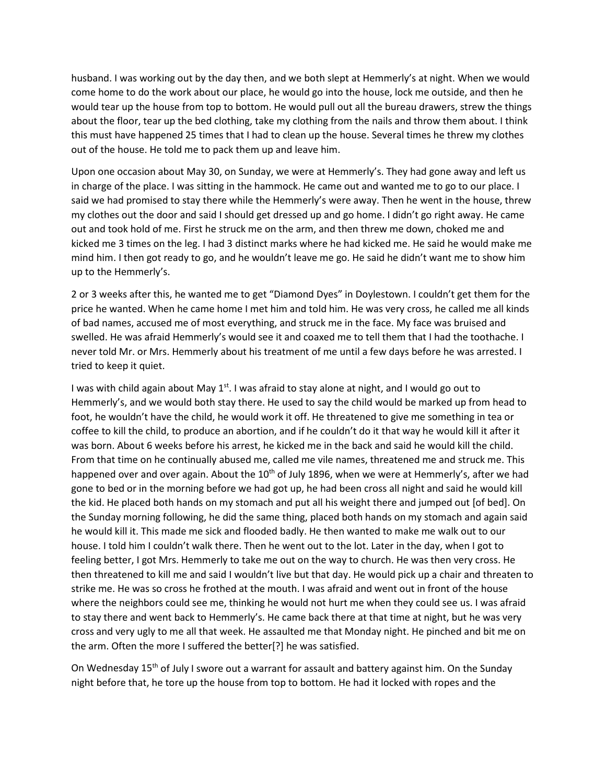husband. I was working out by the day then, and we both slept at Hemmerly's at night. When we would come home to do the work about our place, he would go into the house, lock me outside, and then he would tear up the house from top to bottom. He would pull out all the bureau drawers, strew the things about the floor, tear up the bed clothing, take my clothing from the nails and throw them about. I think this must have happened 25 times that I had to clean up the house. Several times he threw my clothes out of the house. He told me to pack them up and leave him.

Upon one occasion about May 30, on Sunday, we were at Hemmerly's. They had gone away and left us in charge of the place. I was sitting in the hammock. He came out and wanted me to go to our place. I said we had promised to stay there while the Hemmerly's were away. Then he went in the house, threw my clothes out the door and said I should get dressed up and go home. I didn't go right away. He came out and took hold of me. First he struck me on the arm, and then threw me down, choked me and kicked me 3 times on the leg. I had 3 distinct marks where he had kicked me. He said he would make me mind him. I then got ready to go, and he wouldn't leave me go. He said he didn't want me to show him up to the Hemmerly's.

2 or 3 weeks after this, he wanted me to get "Diamond Dyes" in Doylestown. I couldn't get them for the price he wanted. When he came home I met him and told him. He was very cross, he called me all kinds of bad names, accused me of most everything, and struck me in the face. My face was bruised and swelled. He was afraid Hemmerly's would see it and coaxed me to tell them that I had the toothache. I never told Mr. or Mrs. Hemmerly about his treatment of me until a few days before he was arrested. I tried to keep it quiet.

I was with child again about May  $1^{st}$ . I was afraid to stay alone at night, and I would go out to Hemmerly's, and we would both stay there. He used to say the child would be marked up from head to foot, he wouldn't have the child, he would work it off. He threatened to give me something in tea or coffee to kill the child, to produce an abortion, and if he couldn't do it that way he would kill it after it was born. About 6 weeks before his arrest, he kicked me in the back and said he would kill the child. From that time on he continually abused me, called me vile names, threatened me and struck me. This happened over and over again. About the 10<sup>th</sup> of July 1896, when we were at Hemmerly's, after we had gone to bed or in the morning before we had got up, he had been cross all night and said he would kill the kid. He placed both hands on my stomach and put all his weight there and jumped out [of bed]. On the Sunday morning following, he did the same thing, placed both hands on my stomach and again said he would kill it. This made me sick and flooded badly. He then wanted to make me walk out to our house. I told him I couldn't walk there. Then he went out to the lot. Later in the day, when I got to feeling better, I got Mrs. Hemmerly to take me out on the way to church. He was then very cross. He then threatened to kill me and said I wouldn't live but that day. He would pick up a chair and threaten to strike me. He was so cross he frothed at the mouth. I was afraid and went out in front of the house where the neighbors could see me, thinking he would not hurt me when they could see us. I was afraid to stay there and went back to Hemmerly's. He came back there at that time at night, but he was very cross and very ugly to me all that week. He assaulted me that Monday night. He pinched and bit me on the arm. Often the more I suffered the better[?] he was satisfied.

On Wednesday 15<sup>th</sup> of July I swore out a warrant for assault and battery against him. On the Sunday night before that, he tore up the house from top to bottom. He had it locked with ropes and the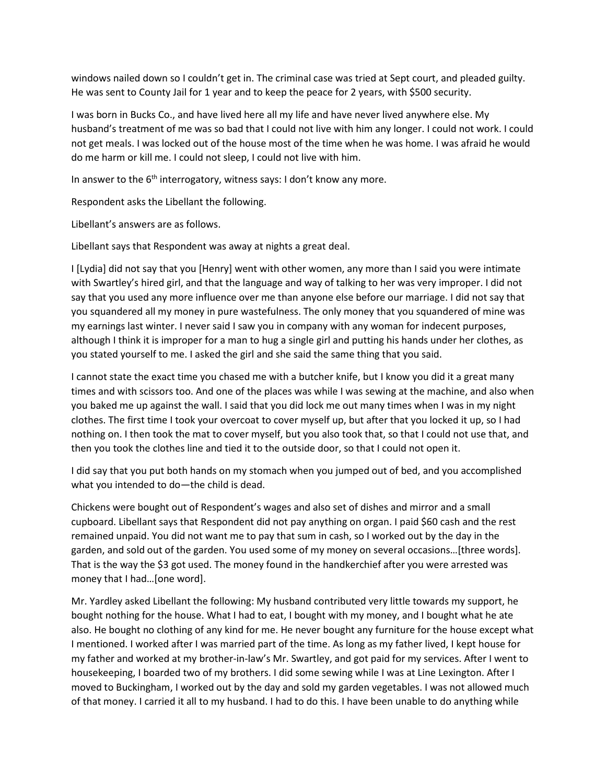windows nailed down so I couldn't get in. The criminal case was tried at Sept court, and pleaded guilty. He was sent to County Jail for 1 year and to keep the peace for 2 years, with \$500 security.

I was born in Bucks Co., and have lived here all my life and have never lived anywhere else. My husband's treatment of me was so bad that I could not live with him any longer. I could not work. I could not get meals. I was locked out of the house most of the time when he was home. I was afraid he would do me harm or kill me. I could not sleep, I could not live with him.

In answer to the 6<sup>th</sup> interrogatory, witness says: I don't know any more.

Respondent asks the Libellant the following.

Libellant's answers are as follows.

Libellant says that Respondent was away at nights a great deal.

I [Lydia] did not say that you [Henry] went with other women, any more than I said you were intimate with Swartley's hired girl, and that the language and way of talking to her was very improper. I did not say that you used any more influence over me than anyone else before our marriage. I did not say that you squandered all my money in pure wastefulness. The only money that you squandered of mine was my earnings last winter. I never said I saw you in company with any woman for indecent purposes, although I think it is improper for a man to hug a single girl and putting his hands under her clothes, as you stated yourself to me. I asked the girl and she said the same thing that you said.

I cannot state the exact time you chased me with a butcher knife, but I know you did it a great many times and with scissors too. And one of the places was while I was sewing at the machine, and also when you baked me up against the wall. I said that you did lock me out many times when I was in my night clothes. The first time I took your overcoat to cover myself up, but after that you locked it up, so I had nothing on. I then took the mat to cover myself, but you also took that, so that I could not use that, and then you took the clothes line and tied it to the outside door, so that I could not open it.

I did say that you put both hands on my stomach when you jumped out of bed, and you accomplished what you intended to do—the child is dead.

Chickens were bought out of Respondent's wages and also set of dishes and mirror and a small cupboard. Libellant says that Respondent did not pay anything on organ. I paid \$60 cash and the rest remained unpaid. You did not want me to pay that sum in cash, so I worked out by the day in the garden, and sold out of the garden. You used some of my money on several occasions…[three words]. That is the way the \$3 got used. The money found in the handkerchief after you were arrested was money that I had…[one word].

Mr. Yardley asked Libellant the following: My husband contributed very little towards my support, he bought nothing for the house. What I had to eat, I bought with my money, and I bought what he ate also. He bought no clothing of any kind for me. He never bought any furniture for the house except what I mentioned. I worked after I was married part of the time. As long as my father lived, I kept house for my father and worked at my brother-in-law's Mr. Swartley, and got paid for my services. After I went to housekeeping, I boarded two of my brothers. I did some sewing while I was at Line Lexington. After I moved to Buckingham, I worked out by the day and sold my garden vegetables. I was not allowed much of that money. I carried it all to my husband. I had to do this. I have been unable to do anything while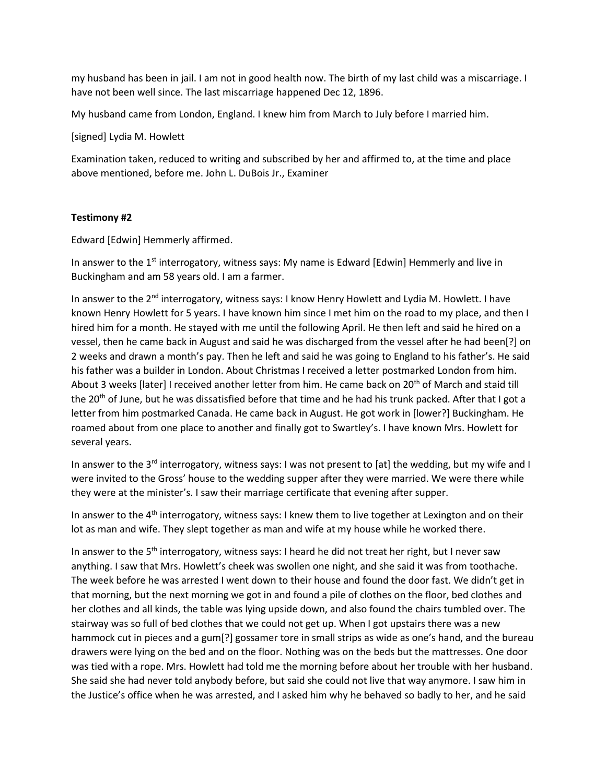my husband has been in jail. I am not in good health now. The birth of my last child was a miscarriage. I have not been well since. The last miscarriage happened Dec 12, 1896.

My husband came from London, England. I knew him from March to July before I married him.

[signed] Lydia M. Howlett

Examination taken, reduced to writing and subscribed by her and affirmed to, at the time and place above mentioned, before me. John L. DuBois Jr., Examiner

# **Testimony #2**

Edward [Edwin] Hemmerly affirmed.

In answer to the 1<sup>st</sup> interrogatory, witness says: My name is Edward [Edwin] Hemmerly and live in Buckingham and am 58 years old. I am a farmer.

In answer to the 2<sup>nd</sup> interrogatory, witness says: I know Henry Howlett and Lydia M. Howlett. I have known Henry Howlett for 5 years. I have known him since I met him on the road to my place, and then I hired him for a month. He stayed with me until the following April. He then left and said he hired on a vessel, then he came back in August and said he was discharged from the vessel after he had been[?] on 2 weeks and drawn a month's pay. Then he left and said he was going to England to his father's. He said his father was a builder in London. About Christmas I received a letter postmarked London from him. About 3 weeks [later] I received another letter from him. He came back on 20<sup>th</sup> of March and staid till the 20<sup>th</sup> of June, but he was dissatisfied before that time and he had his trunk packed. After that I got a letter from him postmarked Canada. He came back in August. He got work in [lower?] Buckingham. He roamed about from one place to another and finally got to Swartley's. I have known Mrs. Howlett for several years.

In answer to the 3<sup>rd</sup> interrogatory, witness says: I was not present to [at] the wedding, but my wife and I were invited to the Gross' house to the wedding supper after they were married. We were there while they were at the minister's. I saw their marriage certificate that evening after supper.

In answer to the 4<sup>th</sup> interrogatory, witness says: I knew them to live together at Lexington and on their lot as man and wife. They slept together as man and wife at my house while he worked there.

In answer to the 5<sup>th</sup> interrogatory, witness says: I heard he did not treat her right, but I never saw anything. I saw that Mrs. Howlett's cheek was swollen one night, and she said it was from toothache. The week before he was arrested I went down to their house and found the door fast. We didn't get in that morning, but the next morning we got in and found a pile of clothes on the floor, bed clothes and her clothes and all kinds, the table was lying upside down, and also found the chairs tumbled over. The stairway was so full of bed clothes that we could not get up. When I got upstairs there was a new hammock cut in pieces and a gum[?] gossamer tore in small strips as wide as one's hand, and the bureau drawers were lying on the bed and on the floor. Nothing was on the beds but the mattresses. One door was tied with a rope. Mrs. Howlett had told me the morning before about her trouble with her husband. She said she had never told anybody before, but said she could not live that way anymore. I saw him in the Justice's office when he was arrested, and I asked him why he behaved so badly to her, and he said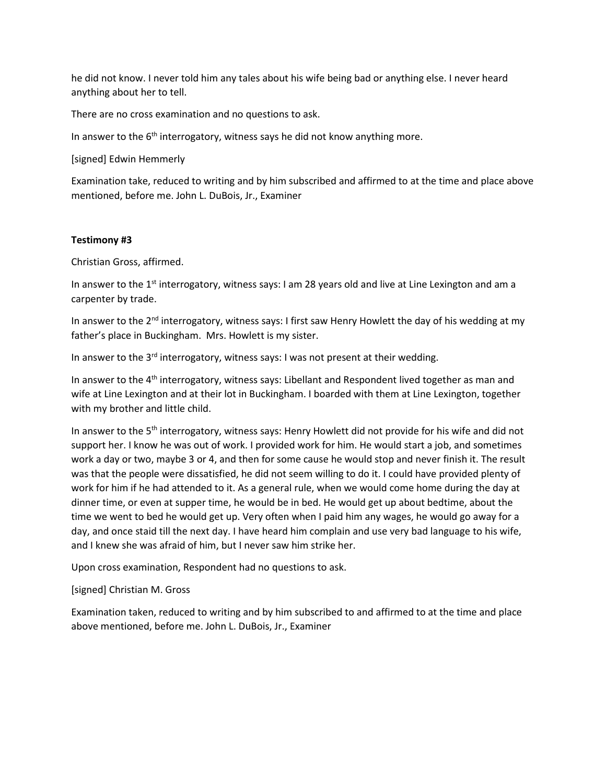he did not know. I never told him any tales about his wife being bad or anything else. I never heard anything about her to tell.

There are no cross examination and no questions to ask.

In answer to the  $6<sup>th</sup>$  interrogatory, witness says he did not know anything more.

[signed] Edwin Hemmerly

Examination take, reduced to writing and by him subscribed and affirmed to at the time and place above mentioned, before me. John L. DuBois, Jr., Examiner

# **Testimony #3**

Christian Gross, affirmed.

In answer to the 1<sup>st</sup> interrogatory, witness says: I am 28 years old and live at Line Lexington and am a carpenter by trade.

In answer to the 2<sup>nd</sup> interrogatory, witness says: I first saw Henry Howlett the day of his wedding at my father's place in Buckingham. Mrs. Howlett is my sister.

In answer to the  $3<sup>rd</sup>$  interrogatory, witness says: I was not present at their wedding.

In answer to the 4<sup>th</sup> interrogatory, witness says: Libellant and Respondent lived together as man and wife at Line Lexington and at their lot in Buckingham. I boarded with them at Line Lexington, together with my brother and little child.

In answer to the 5<sup>th</sup> interrogatory, witness says: Henry Howlett did not provide for his wife and did not support her. I know he was out of work. I provided work for him. He would start a job, and sometimes work a day or two, maybe 3 or 4, and then for some cause he would stop and never finish it. The result was that the people were dissatisfied, he did not seem willing to do it. I could have provided plenty of work for him if he had attended to it. As a general rule, when we would come home during the day at dinner time, or even at supper time, he would be in bed. He would get up about bedtime, about the time we went to bed he would get up. Very often when I paid him any wages, he would go away for a day, and once staid till the next day. I have heard him complain and use very bad language to his wife, and I knew she was afraid of him, but I never saw him strike her.

Upon cross examination, Respondent had no questions to ask.

[signed] Christian M. Gross

Examination taken, reduced to writing and by him subscribed to and affirmed to at the time and place above mentioned, before me. John L. DuBois, Jr., Examiner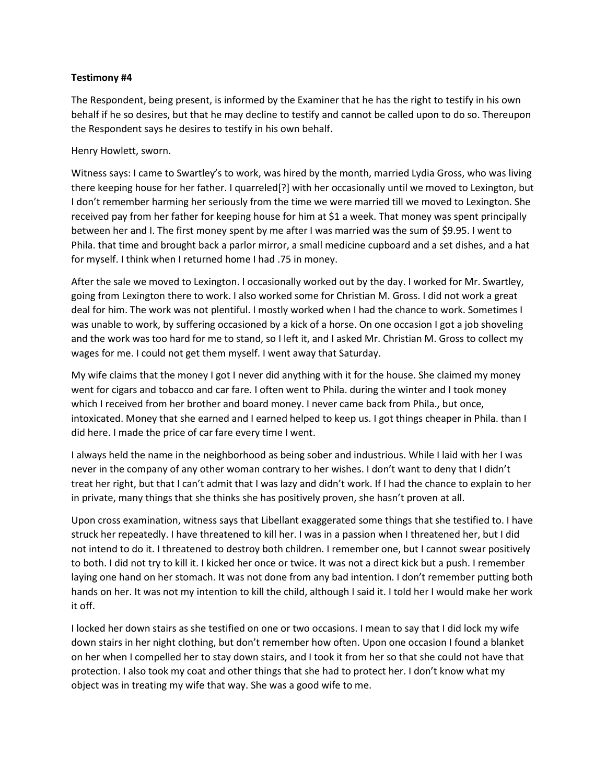### **Testimony #4**

The Respondent, being present, is informed by the Examiner that he has the right to testify in his own behalf if he so desires, but that he may decline to testify and cannot be called upon to do so. Thereupon the Respondent says he desires to testify in his own behalf.

Henry Howlett, sworn.

Witness says: I came to Swartley's to work, was hired by the month, married Lydia Gross, who was living there keeping house for her father. I quarreled[?] with her occasionally until we moved to Lexington, but I don't remember harming her seriously from the time we were married till we moved to Lexington. She received pay from her father for keeping house for him at \$1 a week. That money was spent principally between her and I. The first money spent by me after I was married was the sum of \$9.95. I went to Phila. that time and brought back a parlor mirror, a small medicine cupboard and a set dishes, and a hat for myself. I think when I returned home I had .75 in money.

After the sale we moved to Lexington. I occasionally worked out by the day. I worked for Mr. Swartley, going from Lexington there to work. I also worked some for Christian M. Gross. I did not work a great deal for him. The work was not plentiful. I mostly worked when I had the chance to work. Sometimes I was unable to work, by suffering occasioned by a kick of a horse. On one occasion I got a job shoveling and the work was too hard for me to stand, so I left it, and I asked Mr. Christian M. Gross to collect my wages for me. I could not get them myself. I went away that Saturday.

My wife claims that the money I got I never did anything with it for the house. She claimed my money went for cigars and tobacco and car fare. I often went to Phila. during the winter and I took money which I received from her brother and board money. I never came back from Phila., but once, intoxicated. Money that she earned and I earned helped to keep us. I got things cheaper in Phila. than I did here. I made the price of car fare every time I went.

I always held the name in the neighborhood as being sober and industrious. While I laid with her I was never in the company of any other woman contrary to her wishes. I don't want to deny that I didn't treat her right, but that I can't admit that I was lazy and didn't work. If I had the chance to explain to her in private, many things that she thinks she has positively proven, she hasn't proven at all.

Upon cross examination, witness says that Libellant exaggerated some things that she testified to. I have struck her repeatedly. I have threatened to kill her. I was in a passion when I threatened her, but I did not intend to do it. I threatened to destroy both children. I remember one, but I cannot swear positively to both. I did not try to kill it. I kicked her once or twice. It was not a direct kick but a push. I remember laying one hand on her stomach. It was not done from any bad intention. I don't remember putting both hands on her. It was not my intention to kill the child, although I said it. I told her I would make her work it off.

I locked her down stairs as she testified on one or two occasions. I mean to say that I did lock my wife down stairs in her night clothing, but don't remember how often. Upon one occasion I found a blanket on her when I compelled her to stay down stairs, and I took it from her so that she could not have that protection. I also took my coat and other things that she had to protect her. I don't know what my object was in treating my wife that way. She was a good wife to me.